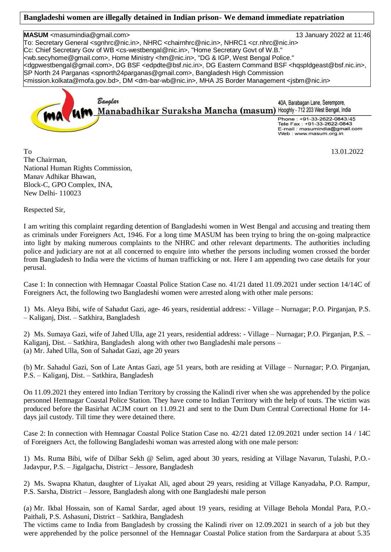## **Bangladeshi women are illegally detained in Indian prison- We demand immediate repatriation**

**MASUM** <masumindia@gmail.com> 13 January 2022 at 11:46 To: Secretary General <sgnhrc@nic.in>, NHRC <chairnhrc@nic.in>, NHRC1 <cr.nhrc@nic.in> Cc: Chief Secretary Gov of WB <cs-westbengal@nic.in>, "Home Secretary Govt of W.B." <wb.secyhome@gmail.com>, Home Ministry <hm@nic.in>, "DG & IGP, West Bengal Police." <dgpwestbengal@gmail.com>, DG BSF <edpdte@bsf.nic.in>, DG Eastern Command BSF <hqspldgeast@bsf.nic.in>, SP North 24 Parganas <spnorth24parganas@gmail.com>, Bangladesh High Commission <mission.kolkata@mofa.gov.bd>, DM <dm-bar-wb@nic.in>, MHA JS Border Management <jsbm@nic.in> Banalar 40A, Barabagan Lane, Serempore, Manabadhikar Suraksha Mancha (masum) Hooghly - 712 203 West Bengal, India

Phone: +91-33-2622-0843/45 Tele Fax: +91-33-2622-0843 -mail: masumindia@gmail.com Web: www.masum.org.in

To 13.01.2022 The Chairman, National Human Rights Commission, Manav Adhikar Bhawan, Block-C, GPO Complex, INA, New Delhi- 110023

Respected Sir,

I am writing this complaint regarding detention of Bangladeshi women in West Bengal and accusing and treating them as criminals under Foreigners Act, 1946. For a long time MASUM has been trying to bring the on-going malpractice into light by making numerous complaints to the NHRC and other relevant departments. The authorities including police and judiciary are not at all concerned to enquire into whether the persons including women crossed the border from Bangladesh to India were the victims of human trafficking or not. Here I am appending two case details for your perusal.

Case 1: In connection with Hemnagar Coastal Police Station Case no. 41/21 dated 11.09.2021 under section 14/14C of Foreigners Act, the following two Bangladeshi women were arrested along with other male persons:

1) Ms. Aleya Bibi, wife of Sahadut Gazi, age- 46 years, residential address: - Village – Nurnagar; P.O. Pirganjan, P.S. – Kaliganj, Dist. – Satkhira, Bangladesh

2) Ms. Sumaya Gazi, wife of Jahed Ulla, age 21 years, residential address: - Village – Nurnagar; P.O. Pirganjan, P.S. – Kaliganj, Dist. – Satkhira, Bangladesh along with other two Bangladeshi male persons – (a) Mr. Jahed Ulla, Son of Sahadat Gazi, age 20 years

(b) Mr. Sahadul Gazi, Son of Late Antas Gazi, age 51 years, both are residing at Village – Nurnagar; P.O. Pirganjan, P.S. – Kaliganj, Dist. – Satkhira, Bangladesh

On 11.09.2021 they entered into Indian Territory by crossing the Kalindi river when she was apprehended by the police personnel Hemnagar Coastal Police Station. They have come to Indian Territory with the help of touts. The victim was produced before the Basirhat ACJM court on 11.09.21 and sent to the Dum Dum Central Correctional Home for 14 days jail custody. Till time they were detained there.

Case 2: In connection with Hemnagar Coastal Police Station Case no. 42/21 dated 12.09.2021 under section 14 / 14C of Foreigners Act, the following Bangladeshi woman was arrested along with one male person:

1) Ms. Ruma Bibi, wife of Dilbar Sekh @ Selim, aged about 30 years, residing at Village Navarun, Tulashi, P.O.- Jadavpur, P.S. – Jigalgacha, District – Jessore, Bangladesh

2) Ms. Swapna Khatun, daughter of Liyakat Ali, aged about 29 years, residing at Village Kanyadaha, P.O. Rampur, P.S. Sarsha, District – Jessore, Bangladesh along with one Bangladeshi male person

(a) Mr. Ikbal Hossain, son of Kamal Sardar, aged about 19 years, residing at Village Behola Mondal Para, P.O.- Paithali, P.S. Ashasuni, District – Satkhira, Bangladesh

The victims came to India from Bangladesh by crossing the Kalindi river on 12.09.2021 in search of a job but they were apprehended by the police personnel of the Hemnagar Coastal Police station from the Sardarpara at about 5.35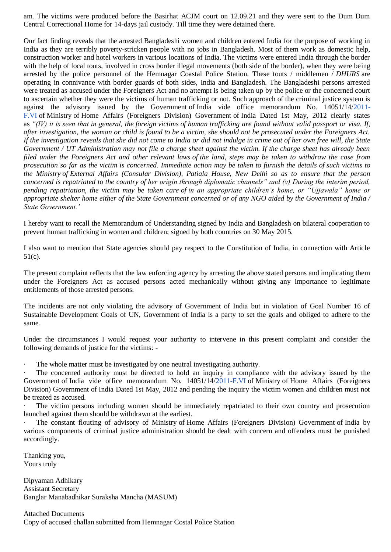am. The victims were produced before the Basirhat ACJM court on 12.09.21 and they were sent to the Dum Dum Central Correctional Home for 14-days jail custody. Till time they were detained there.

Our fact finding reveals that the arrested Bangladeshi women and children entered India for the purpose of working in India as they are terribly poverty-stricken people with no jobs in Bangladesh. Most of them work as domestic help, construction worker and hotel workers in various locations of India. The victims were entered India through the border with the help of local touts, involved in cross border illegal movements (both side of the border), when they were being arrested by the police personnel of the Hemnagar Coastal Police Station. These touts / middlemen / *DHURS* are operating in connivance with border guards of both sides, India and Bangladesh. The Bangladeshi persons arrested were treated as accused under the Foreigners Act and no attempt is being taken up by the police or the concerned court to ascertain whether they were the victims of human trafficking or not. Such approach of the criminal justice system is against the advisory issued by the Government of India vide office memorandum No. 14051/14[/2011-](http://2011-f.vi/) [F.VI](http://2011-f.vi/) of Ministry of Home Affairs (Foreigners Division) Government of India Dated 1st May, 2012 clearly states as *"(IV) it is seen that in general, the foreign victims of human trafficking are found without valid passport or visa. If, after investigation, the woman or child is found to be a victim, she should not be prosecuted under the Foreigners Act. If the investigation reveals that she did not come to India or did not indulge in crime out of her own free will, the State Government / UT Administration may not file a charge sheet against the victim. If the charge sheet has already been filed under the Foreigners Act and other relevant laws of the land, steps may be taken to withdraw the case from prosecution so far as the victim is concerned. Immediate action may be taken to furnish the details of such victims to the Ministry of External Affairs (Consular Division), Patiala House, New Delhi so as to ensure that the person concerned is repatriated to the country of her origin through diplomatic channels" and (v) During the interim period, pending repatriation, the victim may be taken care of in an appropriate children's home, or "Ujjawala" home or appropriate shelter home either of the State Government concerned or of any NGO aided by the Government of India / State Government.'*

I hereby want to recall the Memorandum of Understanding signed by India and Bangladesh on bilateral cooperation to prevent human trafficking in women and children; signed by both countries on 30 May 2015.

I also want to mention that State agencies should pay respect to the Constitution of India, in connection with Article 51(c).

The present complaint reflects that the law enforcing agency by arresting the above stated persons and implicating them under the Foreigners Act as accused persons acted mechanically without giving any importance to legitimate entitlements of those arrested persons.

The incidents are not only violating the advisory of Government of India but in violation of Goal Number 16 of Sustainable Development Goals of UN, Government of India is a party to set the goals and obliged to adhere to the same.

Under the circumstances I would request your authority to intervene in this present complaint and consider the following demands of justice for the victims: -

The whole matter must be investigated by one neutral investigating authority.

The concerned authority must be directed to hold an inquiry in compliance with the advisory issued by the Government of India vide office memorandum No. 14051/14[/2011-F.VI](http://2011-f.vi/) of Ministry of Home Affairs (Foreigners Division) Government of India Dated 1st May, 2012 and pending the inquiry the victim women and children must not be treated as accused.

The victim persons including women should be immediately repatriated to their own country and prosecution launched against them should be withdrawn at the earliest.

· The constant flouting of advisory of Ministry of Home Affairs (Foreigners Division) Government of India by various components of criminal justice administration should be dealt with concern and offenders must be punished accordingly.

Thanking you, Yours truly

Dipyaman Adhikary Assistant Secretary Banglar Manabadhikar Suraksha Mancha (MASUM)